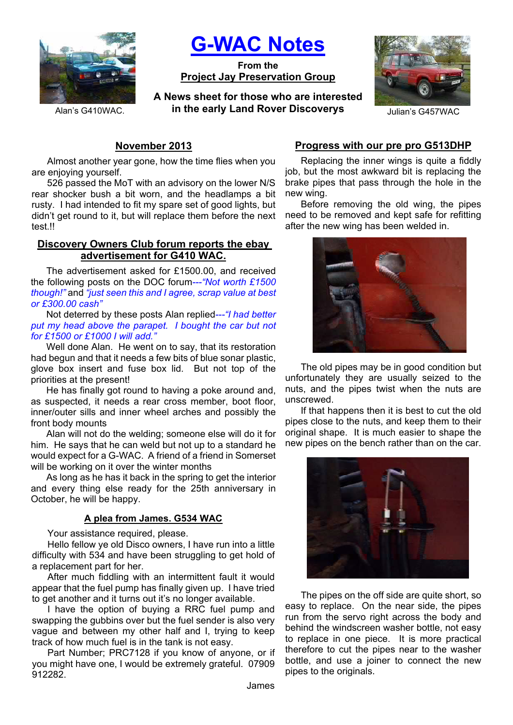

**G-WAC Notes**

**From the Project Jay Preservation Group**

**A News sheet for those who are interested**  Alan's G410WAC. **in the early Land Rover Discoverys** Julian's G457WAC



# **November 2013**

Almost another year gone, how the time flies when you are enjoying yourself.

526 passed the MoT with an advisory on the lower N/S rear shocker bush a bit worn, and the headlamps a bit rusty. I had intended to fit my spare set of good lights, but didn't get round to it, but will replace them before the next test.!!

### **Discovery Owners Club forum reports the ebay advertisement for G410 WAC.**

The advertisement asked for £1500.00, and received the following posts on the DOC forum*---"Not worth £1500 though!"* and *"just seen this and I agree, scrap value at best or £300.00 cash"*

Not deterred by these posts Alan replied*---"I had better put my head above the parapet. I bought the car but not for £1500 or £1000 I will add."*

Well done Alan. He went on to say, that its restoration had begun and that it needs a few bits of blue sonar plastic, glove box insert and fuse box lid. But not top of the priorities at the present!

He has finally got round to having a poke around and, as suspected, it needs a rear cross member, boot floor, inner/outer sills and inner wheel arches and possibly the front body mounts

Alan will not do the welding; someone else will do it for him. He says that he can weld but not up to a standard he would expect for a G-WAC. A friend of a friend in Somerset will be working on it over the winter months

As long as he has it back in the spring to get the interior and every thing else ready for the 25th anniversary in October, he will be happy.

## **A plea from James. G534 WAC**

Your assistance required, please.

Hello fellow ye old Disco owners, I have run into a little difficulty with 534 and have been struggling to get hold of a replacement part for her.

After much fiddling with an intermittent fault it would appear that the fuel pump has finally given up. I have tried to get another and it turns out it's no longer available.

I have the option of buying a RRC fuel pump and swapping the gubbins over but the fuel sender is also very vague and between my other half and I, trying to keep track of how much fuel is in the tank is not easy.

Part Number; PRC7128 if you know of anyone, or if you might have one, I would be extremely grateful. 07909 912282.

## **Progress with our pre pro G513DHP**

Replacing the inner wings is quite a fiddly job, but the most awkward bit is replacing the brake pipes that pass through the hole in the new wing.

Before removing the old wing, the pipes need to be removed and kept safe for refitting after the new wing has been welded in.



The old pipes may be in good condition but unfortunately they are usually seized to the nuts, and the pipes twist when the nuts are unscrewed.

If that happens then it is best to cut the old pipes close to the nuts, and keep them to their original shape. It is much easier to shape the new pipes on the bench rather than on the car.



The pipes on the off side are quite short, so easy to replace. On the near side, the pipes run from the servo right across the body and behind the windscreen washer bottle, not easy to replace in one piece. It is more practical therefore to cut the pipes near to the washer bottle, and use a joiner to connect the new pipes to the originals.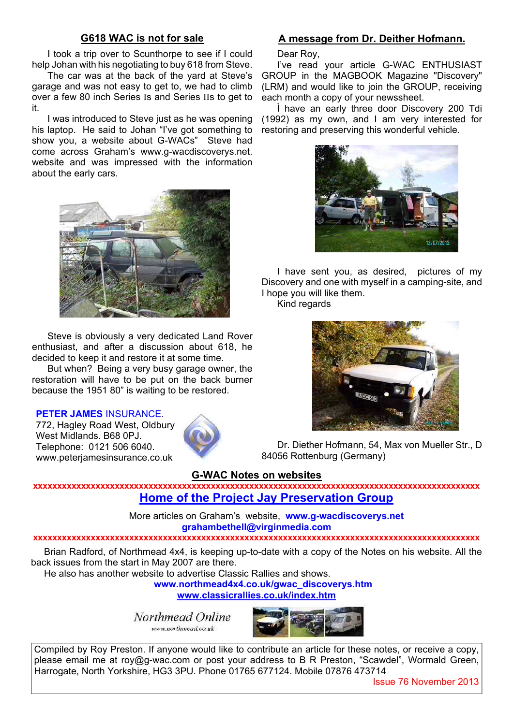### **G618 WAC is not for sale**

I took a trip over to Scunthorpe to see if I could help Johan with his negotiating to buy 618 from Steve.

The car was at the back of the yard at Steve's garage and was not easy to get to, we had to climb over a few 80 inch Series Is and Series IIs to get to it.

I was introduced to Steve just as he was opening his laptop. He said to Johan "I've got something to show you, a website about G-WACs" Steve had come across Graham's www.g-wacdiscoverys.net. website and was impressed with the information about the early cars.



Steve is obviously a very dedicated Land Rover enthusiast, and after a discussion about 618, he decided to keep it and restore it at some time.

But when? Being a very busy garage owner, the restoration will have to be put on the back burner because the 1951 80" is waiting to be restored.

#### **PETER JAMES** INSURANCE.

772, Hagley Road West, Oldbury, West Midlands. B68 0PJ. Telephone: 0121 506 6040. www.peterjamesinsurance.co.uk



## **A message from Dr. Deither Hofmann.**

Dear Roy,

I've read your article G-WAC ENTHUSIAST GROUP in the MAGBOOK Magazine "Discovery" (LRM) and would like to join the GROUP, receiving each month a copy of your newssheet.

Ì have an early three door Discovery 200 Tdi (1992) as my own, and I am very interested for restoring and preserving this wonderful vehicle.



I have sent you, as desired, pictures of my Discovery and one with myself in a camping-site, and I hope you will like them.

Kind regards



Dr. Diether Hofmann, 54, Max von Mueller Str., D 84056 Rottenburg (Germany)

#### **G-WAC Notes on websites**

**xxxxxxxxxxxxxxxxxxxxxxxxxxxxxxxxxxxxxxxxxxxxxxxxxxxxxxxxxxxxxxxxxxxxxxxxxxxxxxxxxxxxxxxxxxxxx Home of the Project Jay Preservation Group**

> More articles on Graham's website, **www.g-wacdiscoverys.net grahambethell@virginmedia.com**

#### **xxxxxxxxxxxxxxxxxxxxxxxxxxxxxxxxxxxxxxxxxxxxxxxxxxxxxxxxxxxxxxxxxxxxxxxxxxxxxxxxxxxxxxxxxxxxx**

Brian Radford, of Northmead 4x4, is keeping up-to-date with a copy of the Notes on his website. All the back issues from the start in May 2007 are there.

He also has another website to advertise Classic Rallies and shows.

**www.northmead4x4.co.uk/gwac\_discoverys.htm**

**www.classicrallies.co.uk/index.htm**

Northmead Online www.northmead.co.uk



Compiled by Roy Preston. If anyone would like to contribute an article for these notes, or receive a copy, please email me at roy@g-wac.com or post your address to B R Preston, "Scawdel", Wormald Green, Harrogate, North Yorkshire, HG3 3PU. Phone 01765 677124. Mobile 07876 473714

Issue 76 November 2013